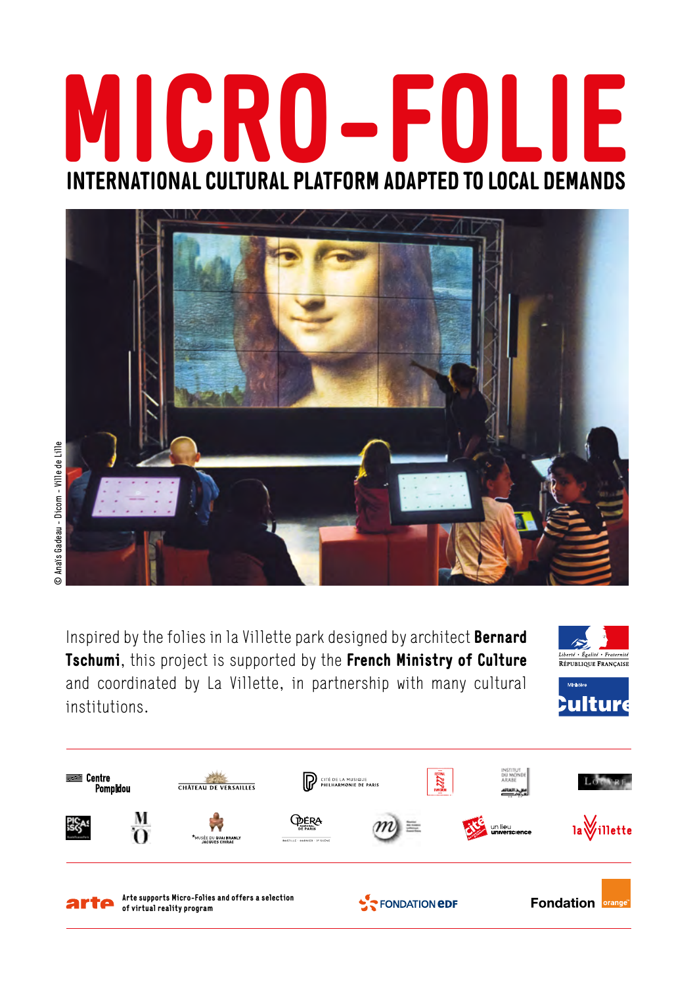# **MICRO-FOLIE INTERNATIONAL CULTURAL PLATFORM ADAPTED TO LOCAL DEMANDS**



Inspired by the folies in la Villette park designed by architect **Bernard Tschumi**, this project is supported by the **French Ministry of Culture** and coordinated by La Villette, in partnership with many cultural institutions.





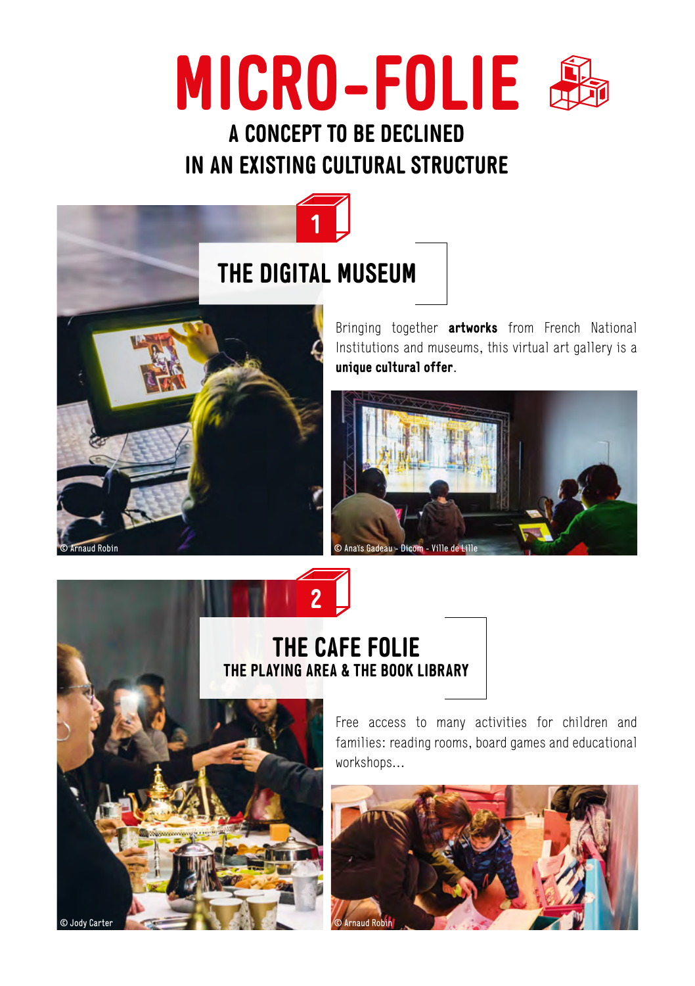# **MICRO-FOLIE**

## **A CONCEPT TO BE DECLINED IN AN EXISTING CULTURAL STRUCTURE**

**1**



Bringing together **artworks** from French National Institutions and museums, this virtual art gallery is a **unique cultural offer**.



### **THE CAFE FOLIE THE PLAYING AREA & THE BOOK LIBRARY**

**2**



Free access to many activities for children and families: reading rooms, board games and educational workshops…

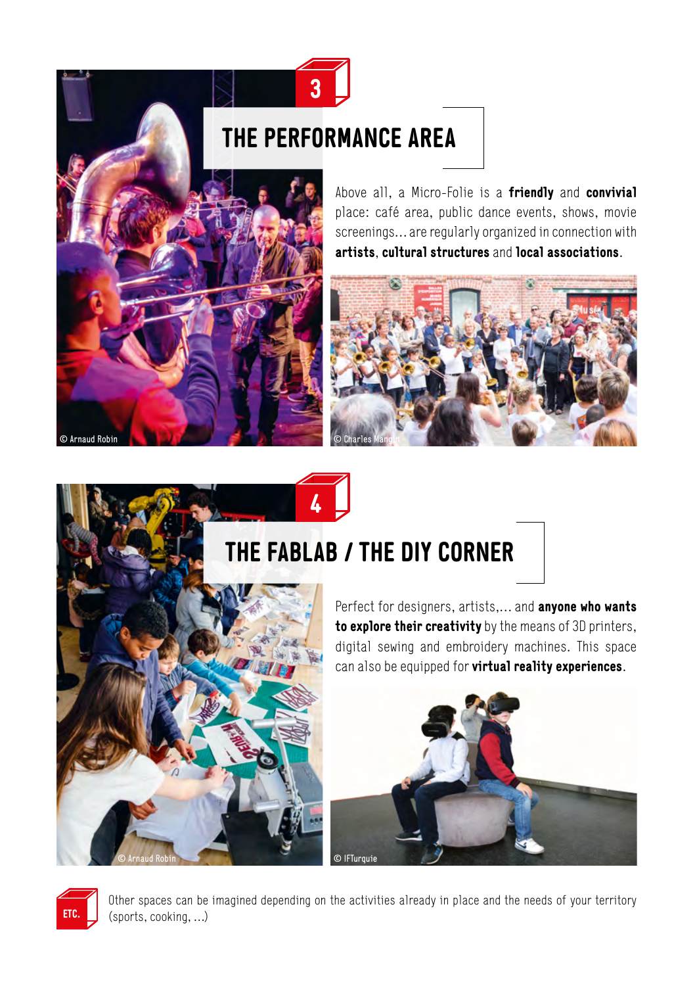# **THE PERFORMANCE AREA**

**3**



Above all, a Micro-Folie is a **friendly** and **convivial**  place: café area, public dance events, shows, movie screenings… are regularly organized in connection with **artists**, **cultural structures** and **local associations**.



# **THE FABLAB / THE DIY CORNER**

**4**



Perfect for designers, artists,… and **anyone who wants to explore their creativity** by the means of 3D printers, digital sewing and embroidery machines. This space can also be equipped for **virtual reality experiences**.





Other spaces can be imagined depending on the activities already in place and the needs of your territory (sports, cooking, …)